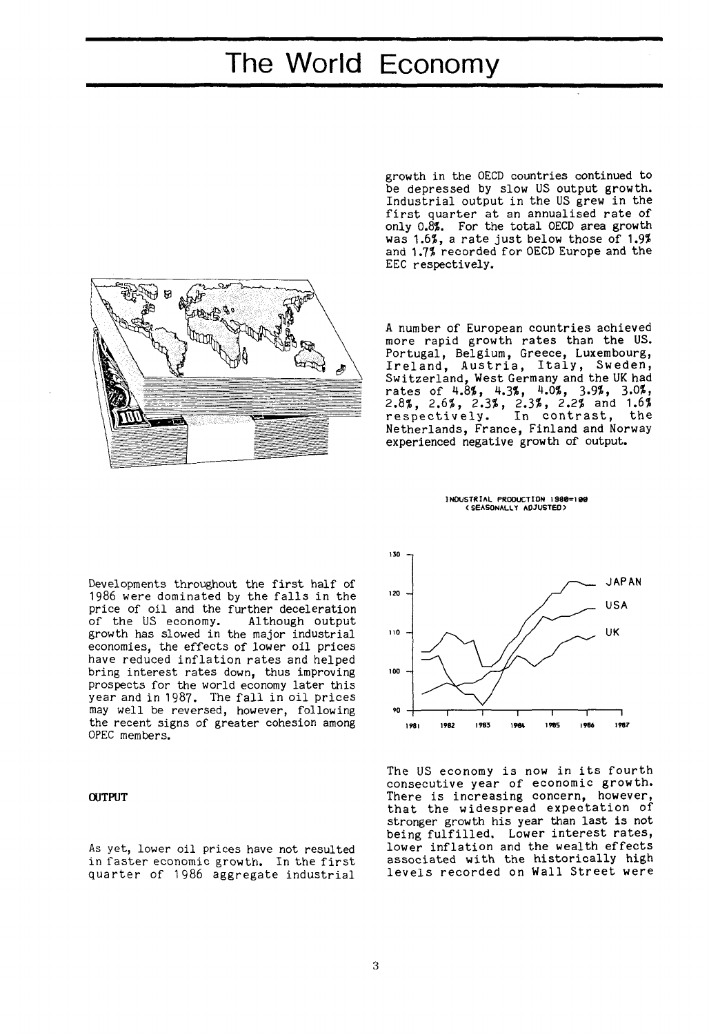# The World Economy



growth in the OECD countries continued to be depressed by slow US output growth. Industrial output in the US grew in the first quarter at an annualised rate of only 0.8%. For the total OECD area growth was 1.6%, a rate just below those of 1.9% and 1.7% recorded for OECD Europe and the EEC respectively.

A number of European countries achieved more rapid growth rates than the US. Portugal, Belgium, Greece, Luxembourg, Ireland, Austria, Italy, Sweden, Switzerland, West Germany and the UK had rate s of 4.8%, 4.3%, 4.0%, 3.9%, 3.0%, 2.8%, 2.6%, 2.3%, 2.3%, 2.2% and 1.6% respectively. In contrast, the Netherlands, France, Finland and Norway experienced negative growth of output.

INDUSTRIAL PRODUCTION **1980=108**  (SEASONALLY ADJUSTED)

Developments throughout the first half of 1986 were dominated by the falls in the price of oil and the further deceleration<br>of the US economy. Although output of the US economy. growth has slowed in the major industrial economies, the effects of lower oil prices have reduced inflation rates and helped bring interest rates down, thus improving prospects for the world economy later this year and in 1987. The fall in oil prices may well be reversed, however, following the recent signs of greater cohesion among OPEC members.

## OUTPUT

As yet, lower oil prices have not resulted in faster economic growth. In the first quarter of 1986 aggregate industrial



The US economy is now in its fourth consecutive year of economic growth. There is increasing concern, however, that the widespread expectation of stronger growth his year than last is not being fulfilled. Lower interest rates, lower inflation and the wealth effects associated with the historically high levels recorded on Wall Street were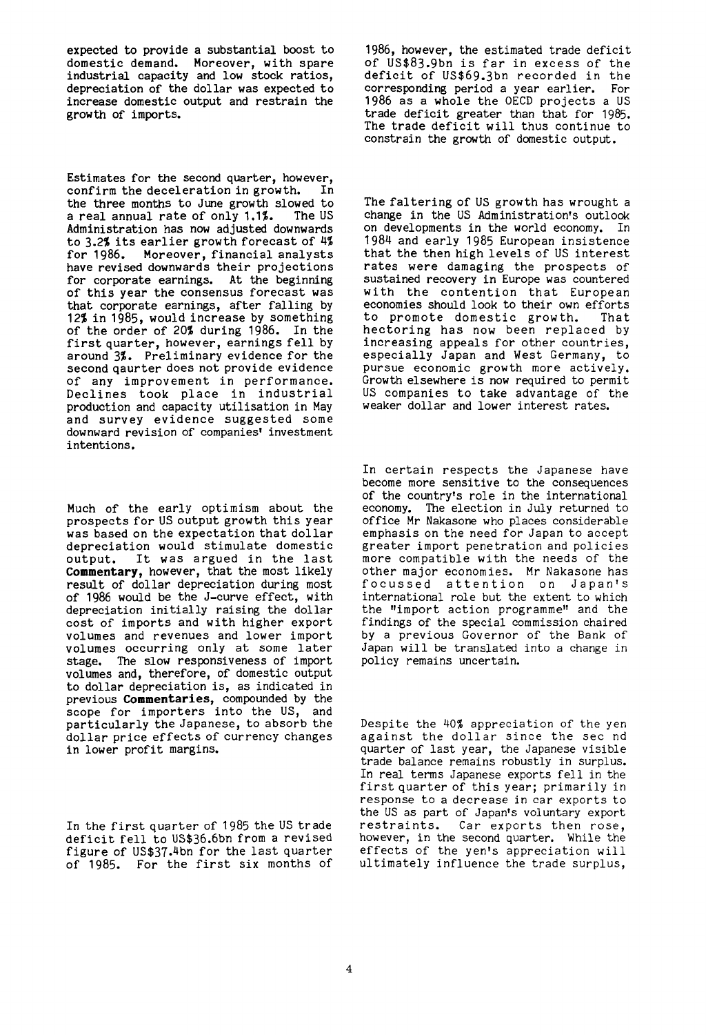expected to provide a substantial boost to domestic demand. Moreover, with spare industrial capacity and low stock ratios, depreciation of the dollar was expected to increase domestic output and restrain the growth of imports.

Estimates for the second quarter, however,<br>confirm the deceleration in growth. In confirm the deceleration in growth. the three months to June growth slowed to<br>a real annual rate of only 1.1%. The US a real annual rate of only 1.1%. Administration has now adjusted downwards to  $3.2\%$  its earlier growth forecast of  $4\%$ for 1986. Moreover, financial analysts have revised downwards their projections for corporate earnings. At the beginning of this year the consensus forecast was that corporate earnings, after falling by 12% in 1985, would increase by something of the order of 20% during 1986. In the first quarter, however, earnings fell by around 3%. Preliminary evidence for the second qaurter does not provide evidence of any improvement in performance. Declines took place in industrial production and capacity utilisation in May and survey evidence suggested some downward revision of companies' investment intentions.

Much of the early optimism about the prospects for US output growth this year was based on the expectation that dollar depreciation would stimulate domestic output. It was argued in the last **Commentary,** however, that the most likely result of dollar depreciation during most of 1986 would be the J-curve effect, with depreciation initially raising the dollar cost of imports and with higher export volumes and revenues and lower import volumes occurring only at some later stage. The slow responsiveness of import volumes and, therefore, of domestic output to dollar depreciation is, as indicated in previous **Commentaries,** compounded by the previous **commentances**, compounded by the<br>scope for importers into the US, and prope for fungoriers from the ob, and<br>particularly the Japanese, to absorb the particularly the vapanese, to absorb the<br>dollar price effects of currency changes dollar price effects of currency changes<br>in lower profit margins.

In the first quarter of 1985 the US trade deficit fell to US\$36.6bn from a revised figure of US\$37-4bn for the last quarter of 1985. For the first six months of 1986, however, the estimated trade deficit of US\$83.9bn is far in excess of the deficit of US\$69.3bn recorded in the corresponding period a year earlier. For 1986 as a whole the OECD projects a US trade deficit greater than that for 1985. The trade deficit will thus continue to constrain the growth of domestic output.

The faltering of US growth has wrought a change in the US Administration's outlook on developments in the world economy. In 1984 and early 1985 European insistence that the then high levels of US interest rates were damaging the prospects of sustained recovery in Europe was countered with the contention that European economies should look to their own efforts to promote domestic growth. That hectoring has now been replaced by increasing appeals for other countries, especially Japan and West Germany, to pursue economic growth more actively. Growth elsewhere is now required to permit US companies to take advantage of the weaker dollar and lower interest rates.

In certain respects the Japanese have become more sensitive to the consequences of the country's role in the international economy. The election in July returned to office Mr Nakasone who places considerable emphasis on the need for Japan to accept greater import penetration and policies more compatible with the needs of the other major economies. Mr Nakasone has focussed attention on Japan's international role but the extent to which the "import action programme" and the findings of the special commission chaired by a previous Governor of the Bank of Japan will be translated into a change in policy remains uncertain.

Despite the 40% appreciation of the yen against the dollar since the sec nd quarter of last year, the Japanese visible trade balance remains robustly in surplus. In real terms Japanese exports fell in the first quarter of this year; primarily in response to a decrease in car exports to the US as part of Japan's voluntary export restraints. Car exports then rose, however, in the second quarter. While the effects of the yen's appreciation will ultimately influence the trade surplus,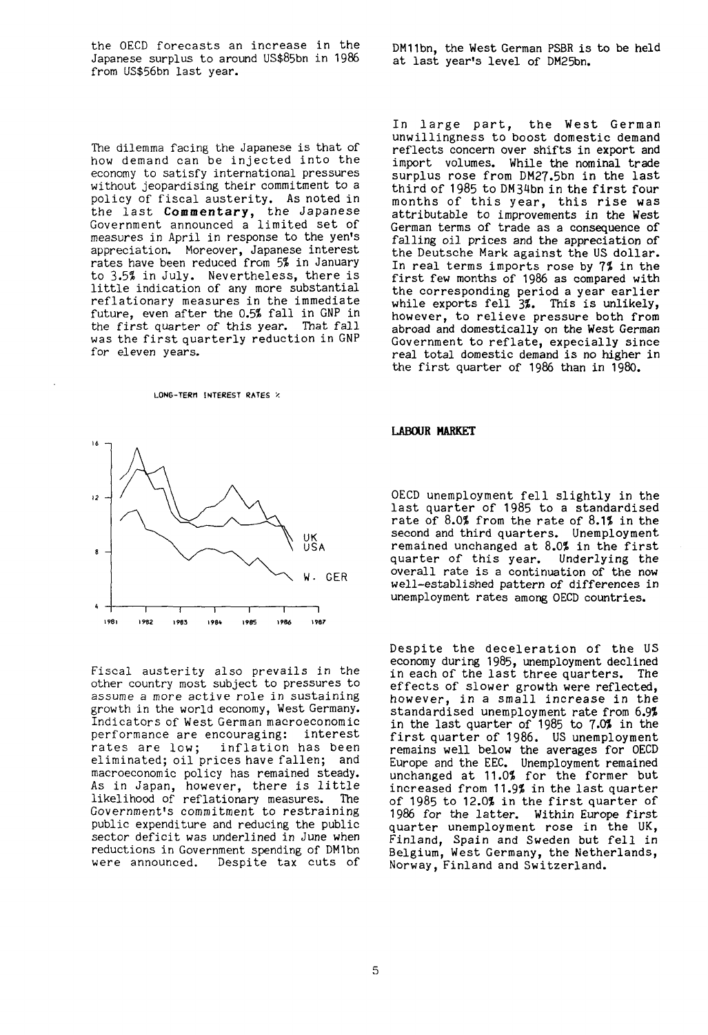the OECD forecasts an increase in the Japanese surplus to around US\$85bn in 1986 from US\$56bn last year.

The dilemma facing the Japanese is that of how demand can be injected into the economy to satisfy international pressures without jeopardising their commitment to a policy of fiscal austerity. As noted in the last **Commentary,** the Japanese Government announced a limited set of measures in April in response to the yen's appreciation. Moreover, Japanese interest rates have been reduced from 5% in January to 3.5% in July. Nevertheless, there is little indication of any more substantial reflationary measures in the immediate future, even after the 0.5% fall in GNP in the first quarter of this year. That fall was the first quarterly reduction in GNP for eleven years.

#### **LONG-TERM INTEREST RATES '.**



Fiscal austerity also prevails in the other country most subject to pressures to assume a *more* active role in sustaining growth in the world economy, West Germany. Indicators of West German maeroeconomic performance are encouraging:<br>rates are low; inflation inflation has been eliminated; oil prices have fallen; and macroeconomlc policy has remained steady. As in Japan, however, there is little likelihood of reflationary measures. The Government's commitment to restraining public expenditure and reducing the public sector deficit was underlined in June when reductions in Government spending of DMIbn were announced. Despite tax cuts of

DM11bn, the West German PSBR is to be held at last year's level of DM25bn.

In large part, the West German unwillingness to boost domestic demand reflects concern over shifts in export and import volumes. While the nominal trade surplus rose from DM27.5bn in the last third of 1985 to DM34bn in the first four months of this year, this rise was attributable to improvements in the West German terms of trade as a consequence of falling oil prices and the appreciation of the Deutsche Mark against the US dollar. In real terms imports rose by 7% in the first few months of 1986 as compared with the corresponding period a year earlier while exports fell 3%. This is unlikely, however, to relieve pressure both from abroad and domestically on the West German Government to reflate, expecially since real total domestic demand is no higher in the first quarter of 1986 than in 1980.

### **LABOUR MARKET**

OECD unemployment fell slightly in the last quarter of 1985 to a standardised rate of  $8.0\%$  from the rate of  $8.1\%$  in the second and third quarters. Unemployment remained unchanged at 8.0% in the first quarter of this year. Underlying the overall rate is a continuation of the now well-established pattern of differences in unemployment rates among OECD countries.

Despite the deceleration of the US economy during 1985, unemployment declined in each of the last three quarters. The effects of slower growth were reflected, however, in a small increase in the standardised unemployment rate from 6.9% in the last quarter of 1985 to 7.0% in the first quarter of 1986. US unemployment remains well below the averages for OECD Europe and the EEC. Unemployment remained unchanged at 11.0% for the former but increased from 11.9% in the last quarter of 1985 to 12.0% in the first quarter of 1986 for the latter. Within Europe first quarter unemployment rose in the UK, Finland, Spain and Sweden but fell in Belgium, West Germany, the Netherlands, Norway, Finland and Switzerland.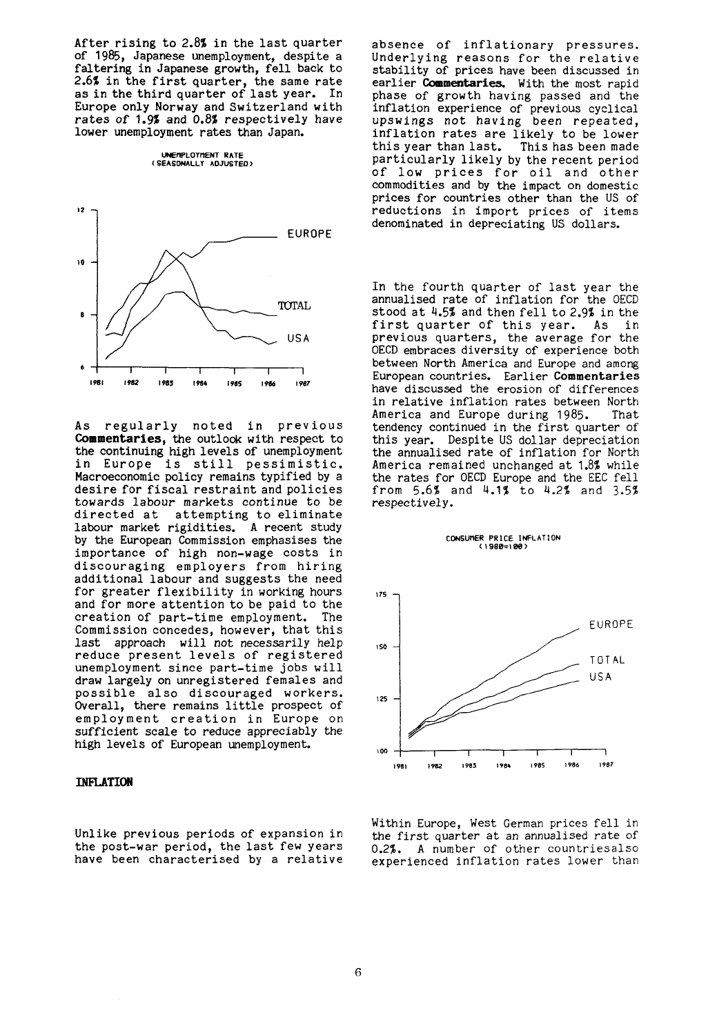After rising to 2.8% in the last quarter of 1985, Japanese unemployment, despite a faltering in Japanese growth, fell back to 2.6% in the first quarter, the same rate as in the third quarter of last year. In Europe only Norway and Switzerland with rates of 1.9% and 0.8% respectively have lower unemployment rates than Japan.

**UNEtlPLOYflENT RATE (SEASONALLY ADJUSTED)** 



As regularly noted in previous **Commentaries,** the outlook with respect to the continuing high levels of unemployment in Europe is still pessimistic. Macroeconomic policy remains typified by a desire for fiscal restraint and policies towards labour markets continue to be directed at attempting to eliminate labour market rigidities. A recent study by the European Commission emphasises the importance of high non-wage costs in discouraging employers from hiring additional labour and suggests the need for greater flexibility in working hours and for more attention to be paid to the creation of part-time employment. The Commission concedes, however, that this last approach will not necessarily help reduce present levels of registered unemployment since part-time jobs will draw largely on unregistered females and possible also discouraged workers. Overall, there remains little prospect of employment creation in Europe on sufficient scale to reduce appreciably the high levels of European unemployment.

## **INFLATION**

Unlike previous periods of expansion in the post-war period, the last few years have been characterised by a relative absence of inflationary pressures. Underlying reasons for the relative stability of prices have been discussed in earlier **Commentaries.** With the most rapid phase of growth having passed and the inflation experience of previous cyclical upswings not having been repeated, inflation rates are likely to be lower<br>this year than last. This has been made This has been made particularly likely by the recent period of low prices for oil and other commodities and by the impact on domestic prices for countries other than the US of reductions in import prices of items denominated in depreciating US dollars.

In the fourth quarter of last year the annualised rate of inflation for the OECD stood at 4.5% and then fell to 2.9% in the first quarter of this year. As in previous quarters, the average for the OECD embraces diversity of experience both between North America and Europe and among European countries. Earlier **Commentaries**  have discussed the erosion of differences in relative inflation rates between North America and Europe during 1985. That tendency continued in the first quarter of this year. Despite US dollar depreciation the annualised rate of inflation for North America remained unchanged at 1.8% while the rates for OECD Europe and the EEC fell from 5.6% and 4.1% to 4.2% and 3.5% respectively.

**CONSUnER PRICE INFLATION** 



Within Europe, West German prices fell in the first quarter at an annualised rate of 0.2%. A number of other countriesalso experienced inflation rates lower than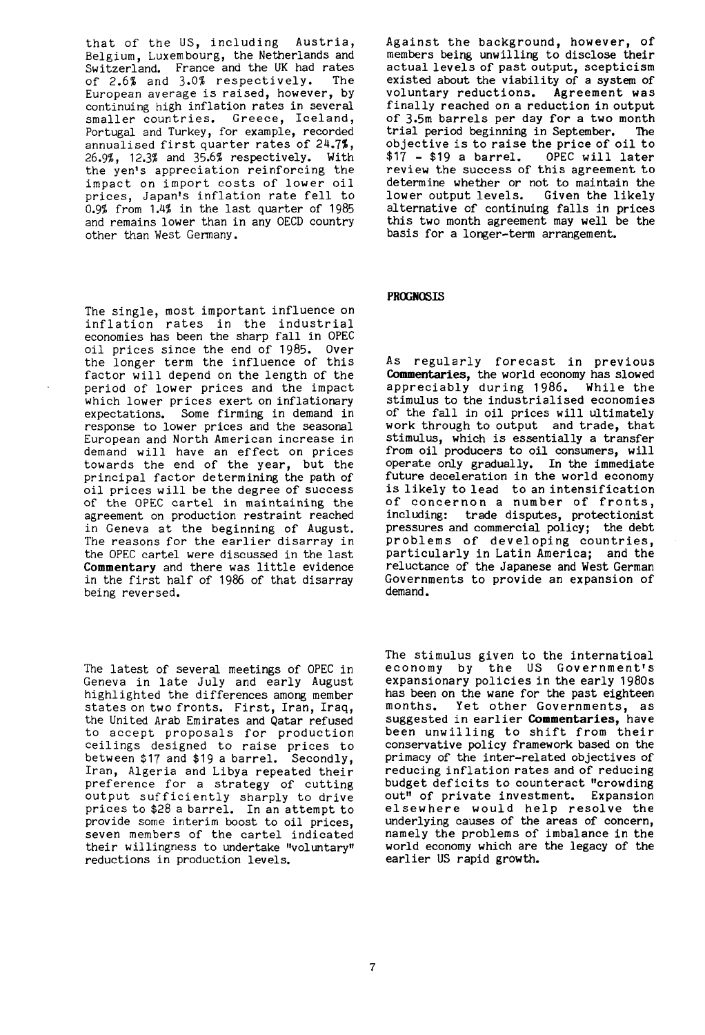that of the US, including Austria, Belgium, Luxembourg, the Netherlands and Switzerland. France and the UK had rates<br>of 2.6% and 3.0% respectively. The of 2.6% and 3.0% respectively. European average is raised, however, by continuing high inflation rates in several smaller countries. Greece, Iceland, Portugal and Turkey, for example, recorded annualised first quarter rates of 24.7%, 26.9%, 12.3% and 35.6% respectively. With the yen's appreciation reinforcing the impact on import costs of lower oil prices, Japan's inflation rate fell to 0.9% from 1.4% in the last quarter of 1985 and remains lower than in any OECD country other than West Germany.

The single, most important influence on inflation rates in the industrial economies has been the sharp fall in OPEC oil prices since the end of 1985. Over the longer term the influence of this factor will depend on the length of the period of lower prices and the impact which lower prices exert on inflationary expectations. Some firming in demand in response to lower prices and the seasonal European and North American increase in demand will have an effect on prices towards the end of the year, but the principal factor determining the path of oil prices will be the degree of success of the OPEC cartel in maintaining the agreement on production restraint reached in Geneva at the beginning of August. The reasons for the earlier disarray in the OPEC cartel were discussed in the last Commentary and there was little evidence in the first half of 1986 of that disarray being reversed.

The latest of several meetings of OPEC in Geneva in late July and early August highlighted the differences among member states on two fronts. First, Iran, Iraq, the United Arab Emirates and Qatar refused to accept proposals for production ceilings designed to raise prices to between \$17 and \$19 a barrel. Secondly, Iran, Algeria and Libya repeated their preference for a strategy of cutting output sufficiently sharply to drive prices to \$28 a barrel. In an attempt to provide some interim boost to oil prices, seven members of the cartel indicated their willingness to undertake "voluntary" reductions in production levels.

Against the background, however, of members being unwilling to disclose their actual levels of past output, scepticism existed about the viability of a system of voluntary reductions. Agreement was finally reached on a reduction in output of 3.5m barrels per day for a two month<br>trial period beginning in September. The trial period beginning in September. objective is to raise the price of oil to  $$17 - $19$  a barrel. OPEC will later  $$17 - $19$  a barrel. review the success of this agreement to determine whether or not to maintain the<br>lower output levels. Given the likely lower output levels. alternative of continuing falls in prices this two month agreement may well be the basis for a longer-term arrangement.

## **PROGNOSIS**

As regularly forecast in previous **Commentaries,** the world economy has slowed appreciably during 1986. While the stimulus to the industrialised economies of the fall in oil prices will ultimately work through to output and trade, that stimulus, which is essentially a transfer from oil producers to oil consumers, will operate only gradually. In the immediate future deceleration in the world economy is likely to lead to an intensification of concernon a number of fronts, including: trade disputes, protectionist pressures and commercial policy; the debt problems of developing countries, particularly in Latin America; and the reluctance of the Japanese and West German Governments to provide an expansion of demand.

The stimulus given to the internatioal economy by the US Government's expansionary policies in the early 1980s has been on the wane for the past eighteen months. Yet other Governments, as suggested in earlier **Commentaries**, have been unwilling to shift from their conservative policy framework based on the primacy of the inter-related objectives of reducing inflation rates and of reducing budget deficits to counteract "crowding out" of private investment. Expansion elsewhere would help resolve the underlying causes of the areas of concern, namely the problems of imbalance in the world economy which are the legacy of the earlier US rapid growth.